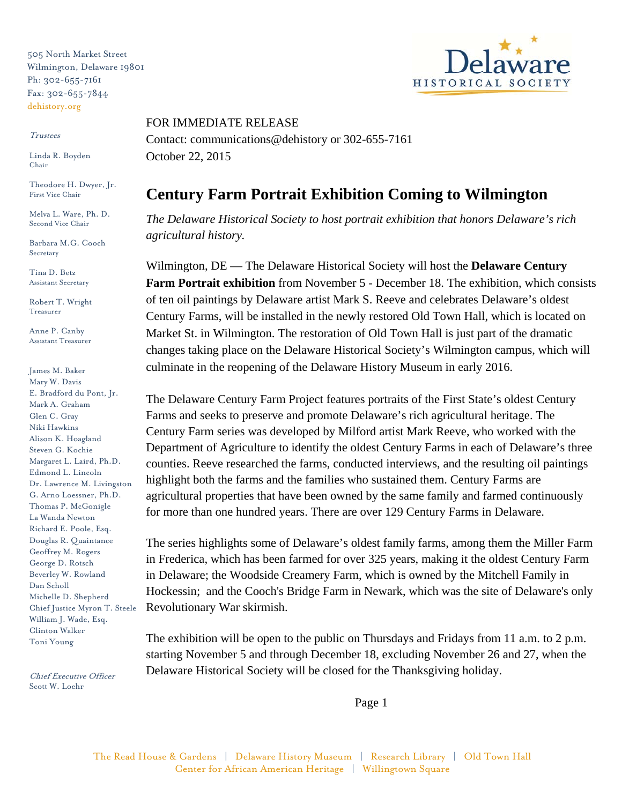505 North Market Street Wilmington, Delaware 19801 Ph: 302-655-7161 Fax: 302-655-7844 dehistory.org

## Trustees

Linda R. Boyden Chair

Theodore H. Dwyer, Jr. First Vice Chair

Melva L. Ware, Ph. D. Second Vice Chair

Barbara M.G. Cooch Secretary

Tina D. Betz Assistant Secretary

Robert T. Wright Treasurer

Anne P. Canby Assistant Treasurer

James M. Baker Mary W. Davis E. Bradford du Pont, Jr. Mark A. Graham Glen C. Gray Niki Hawkins Alison K. Hoagland Steven G. Kochie Margaret L. Laird, Ph.D. Edmond L. Lincoln Dr. Lawrence M. Livingston G. Arno Loessner, Ph.D. Thomas P. McGonigle La Wanda Newton Richard E. Poole, Esq. Douglas R. Quaintance Geoffrey M. Rogers George D. Rotsch Beverley W. Rowland Dan Scholl Michelle D. Shepherd Chief Justice Myron T. Steele William J. Wade, Esq. Clinton Walker Toni Young

Chief Executive Officer Scott W. Loehr



## FOR IMMEDIATE RELEASE

Contact: communications@dehistory or 302-655-7161 October 22, 2015

## **Century Farm Portrait Exhibition Coming to Wilmington**

*The Delaware Historical Society to host portrait exhibition that honors Delaware's rich agricultural history.*

Wilmington, DE — The Delaware Historical Society will host the **Delaware Century Farm Portrait exhibition** from November 5 - December 18. The exhibition, which consists of ten oil paintings by Delaware artist Mark S. Reeve and celebrates Delaware's oldest Century Farms, will be installed in the newly restored Old Town Hall, which is located on Market St. in Wilmington. The restoration of Old Town Hall is just part of the dramatic changes taking place on the Delaware Historical Society's Wilmington campus, which will culminate in the reopening of the Delaware History Museum in early 2016.

The Delaware Century Farm Project features portraits of the First State's oldest Century Farms and seeks to preserve and promote Delaware's rich agricultural heritage. The Century Farm series was developed by Milford artist Mark Reeve, who worked with the Department of Agriculture to identify the oldest Century Farms in each of Delaware's three counties. Reeve researched the farms, conducted interviews, and the resulting oil paintings highlight both the farms and the families who sustained them. Century Farms are agricultural properties that have been owned by the same family and farmed continuously for more than one hundred years. There are over 129 Century Farms in Delaware.

The series highlights some of Delaware's oldest family farms, among them the Miller Farm in Frederica, which has been farmed for over 325 years, making it the oldest Century Farm in Delaware; the Woodside Creamery Farm, which is owned by the Mitchell Family in Hockessin; and the Cooch's Bridge Farm in Newark, which was the site of Delaware's only Revolutionary War skirmish.

The exhibition will be open to the public on Thursdays and Fridays from 11 a.m. to 2 p.m. starting November 5 and through December 18, excluding November 26 and 27, when the Delaware Historical Society will be closed for the Thanksgiving holiday.

Page 1